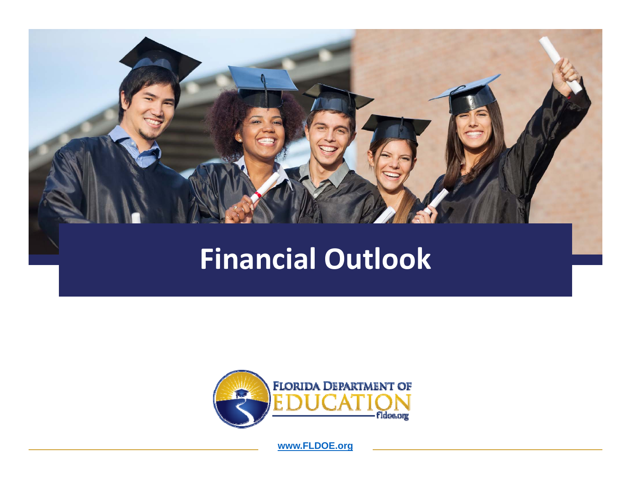

# **Financial Outlook**

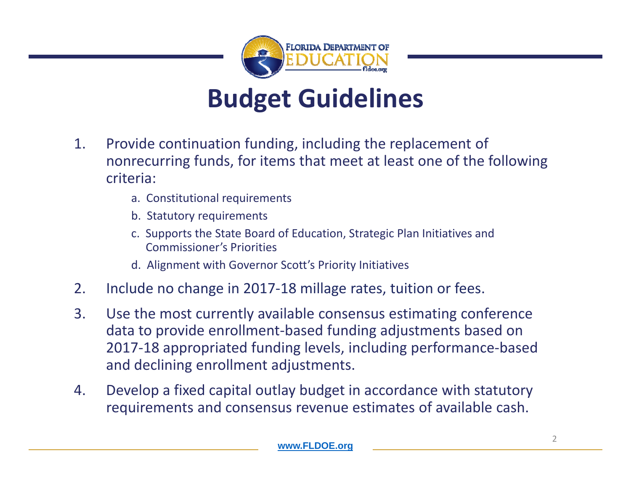

# **Budget Guidelines**

- 1. Provide continuation funding, including the replacement of nonrecurring funds, for items that meet at least one of the following criteria:
	- a. Constitutional requirements
	- b. Statutory requirements
	- c. Supports the State Board of Education, Strategic Plan Initiatives and Commissioner's Priorities
	- d. Alignment with Governor Scott's Priority Initiatives
- 2.. Include no change in 2017-18 millage rates, tuition or fees.
- 3. Use the most currently available consensus estimating conference data to provide enrollment‐based funding adjustments based on 2017‐18 appropriated funding levels, including performance‐based and declining enrollment adjustments.
- 4. Develop <sup>a</sup> fixed capital outlay budget in accordance with statutory requirements and consensus revenue estimates of available cash.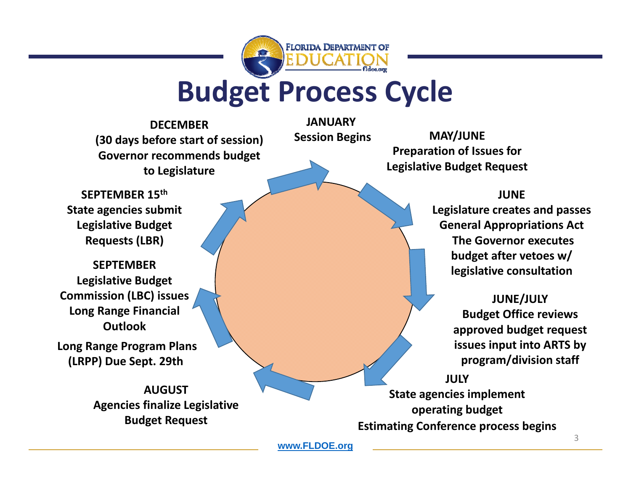

# **Budget Process Cycle**

**JANUARY**

**Session**

**DECEMBER(30 days before start of session) Governor recommends budget to Legislature**

 **Begins MAY/JUNE Preparation of Issues for Legislative Budget Request**

#### **JUNE**

**Legislature creates and passes General Appropriations Act The Governor executes budget after vetoes w/ legislative consultation**

> **JUNE/JULY Budget Office reviews approved budget request issues input into ARTS by program/division staff**

**JULYState agencies implement operating budget Estimating Conference process begins**

**SEPTEMBER 15th State agencies submit Legislative Budget Requests (LBR)**

**SEPTEMBERLegislative Budget Commission (LBC) issues Long Range Financial Outlook**

**Long Range Program Plans (LRPP) Due Sept. 29th**

> **AUGUSTAgencies finalize Legislative Budget Request**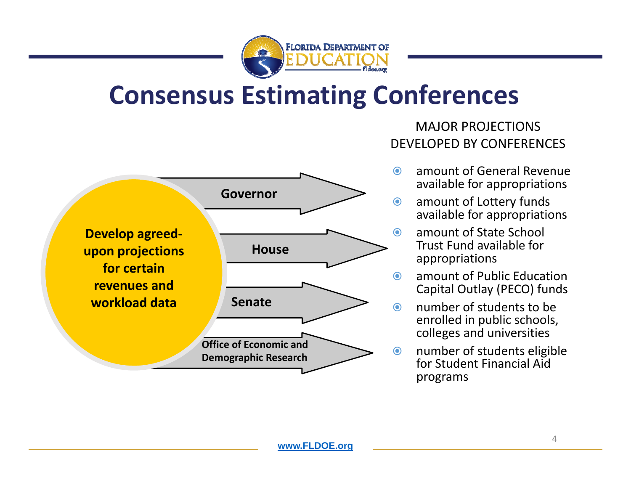

## **Consensus Estimating Conferences**



#### MAJOR PROJECTIONS DEVELOPED BY CONFERENCES

- $\odot$  amount of General Revenue available for appropriations
- $\odot$  amount of Lottery funds available for appropriations
	- amount of State School Trust Fund available for appropriations
	- amount of Public Education Capital Outlay (PECO) funds
	- number of students to be enrolled in public schools, colleges and universities
- $\bf{O}$  number of students eligible for Student Financial Aidprograms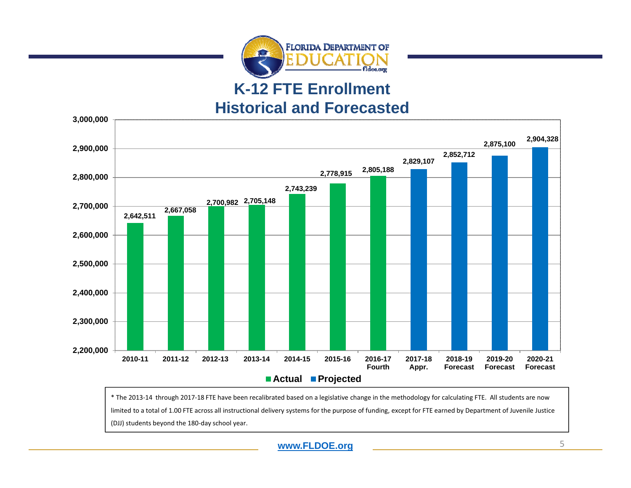

#### **K-12 FTE Enrollment Historical and Forecasted**



\* The 2013‐14 through 2017‐18 FTE have been recalibrated based on <sup>a</sup> legislative change in the methodology for calculating FTE. All students are now limited to <sup>a</sup> total of 1.00 FTE across all instructional delivery systems for the purpose of funding, except for FTE earned by Department of Juvenile Justice (DJJ) students beyond the 180‐day school year.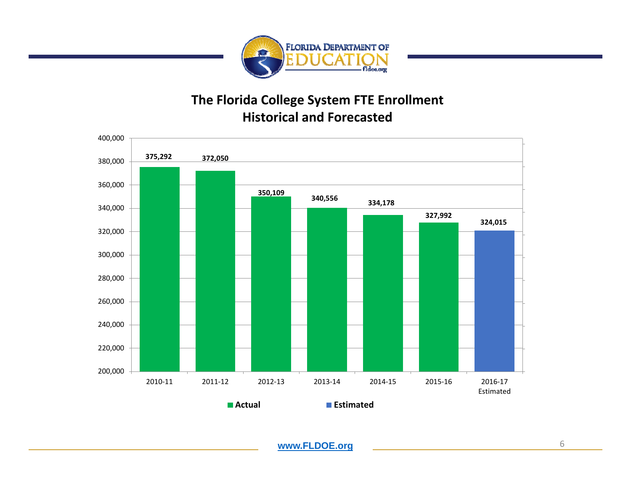

#### **The Florida College System FTE Enrollment Historical and Forecasted**

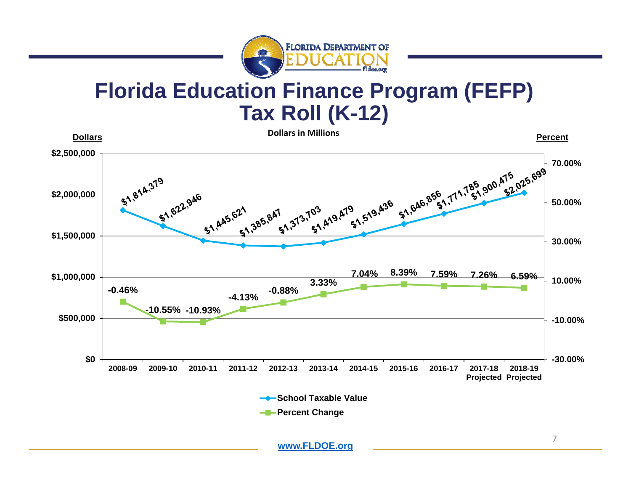

### **Florida Education Finance Program (FEFP) Tax Roll (K-12)**

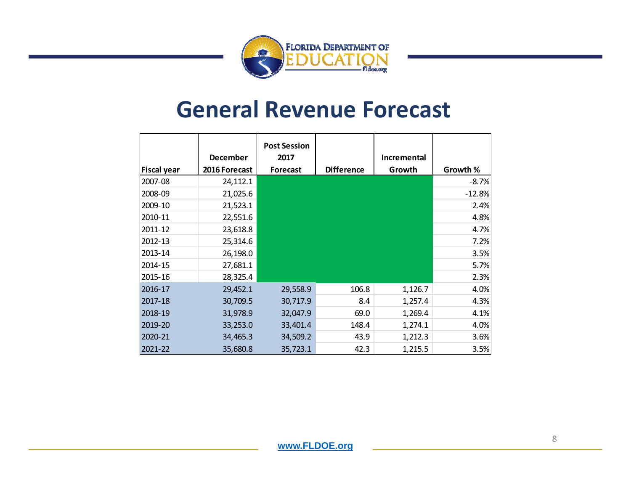

### **General Revenue Forecast**

|                    |                 | <b>Post Session</b> |                   |             |          |
|--------------------|-----------------|---------------------|-------------------|-------------|----------|
|                    | <b>December</b> | 2017                |                   | Incremental |          |
| <b>Fiscal year</b> | 2016 Forecast   | <b>Forecast</b>     | <b>Difference</b> | Growth      | Growth % |
| 2007-08            | 24,112.1        |                     |                   |             | $-8.7%$  |
| 2008-09            | 21,025.6        |                     |                   |             | $-12.8%$ |
| 2009-10            | 21,523.1        |                     |                   |             | 2.4%     |
| 2010-11            | 22,551.6        |                     |                   |             | 4.8%     |
| 2011-12            | 23,618.8        |                     |                   |             | 4.7%     |
| 2012-13            | 25,314.6        |                     |                   |             | 7.2%     |
| 2013-14            | 26,198.0        |                     |                   |             | 3.5%     |
| 2014-15            | 27,681.1        |                     |                   |             | 5.7%     |
| 2015-16            | 28,325.4        |                     |                   |             | 2.3%     |
| 2016-17            | 29,452.1        | 29,558.9            | 106.8             | 1,126.7     | 4.0%     |
| 2017-18            | 30,709.5        | 30,717.9            | 8.4               | 1,257.4     | 4.3%     |
| 2018-19            | 31,978.9        | 32,047.9            | 69.0              | 1,269.4     | 4.1%     |
| 2019-20            | 33,253.0        | 33,401.4            | 148.4             | 1,274.1     | 4.0%     |
| 2020-21            | 34,465.3        | 34,509.2            | 43.9              | 1,212.3     | 3.6%     |
| 2021-22            | 35,680.8        | 35,723.1            | 42.3              | 1,215.5     | 3.5%     |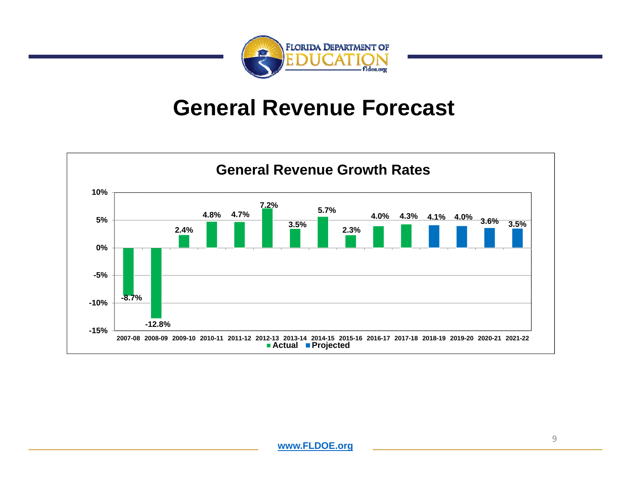

### **General Revenue Forecast**

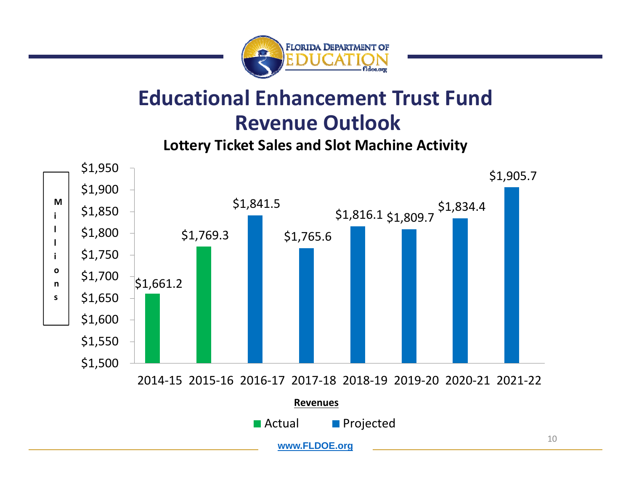

### **Educational Enhancement Trust FundRevenue Outlook**

**Lottery Ticket Sales and Slot Machine Activity**

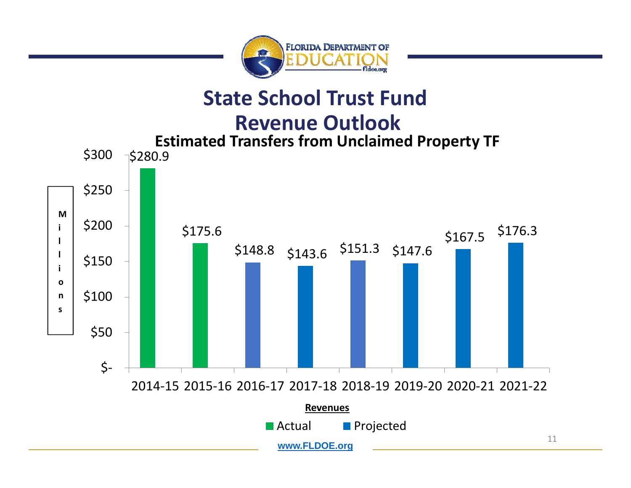

#### **State School Trust Fund**

#### **Revenue Outlook**

**Estimated Transfers from Unclaimed Property TF** \$300  $\neg$ \$280.9 \$250 **M**\$200 \$167.5 \$176.3<br>\$148.8 \$143.6 \$151.3 \$147.6 **i**\$175.6 1 H \$150 **io**\$100 **n s**\$50 \$‐ 2014‐15 2015‐16 2016‐17 2017‐18 2018‐[19](#page-18-0) 2019‐20 2020‐21 2021‐22

■ Actual

**Revenues**

**www.FLDOE.org** 

**Projected** 

11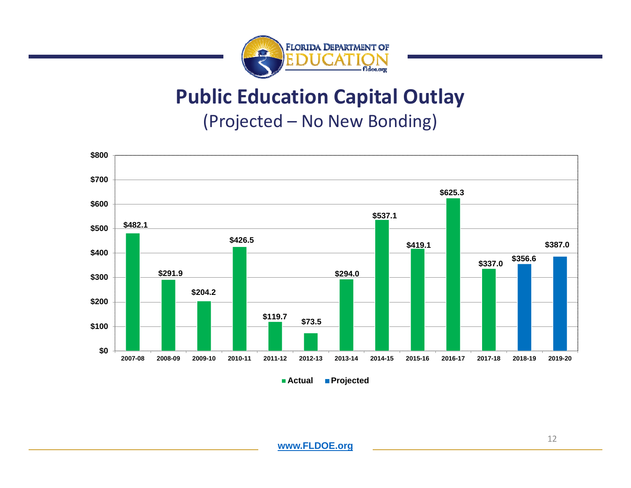

### **Public Education Capital Outlay**

(Projected – No New Bonding)



**Actual Projected**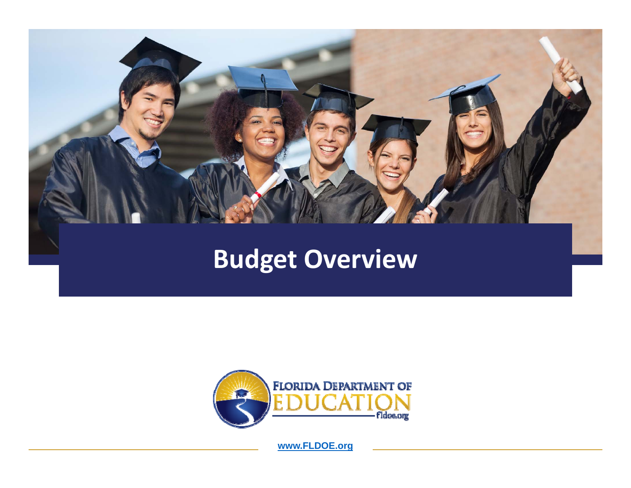

# **Budget Overview**

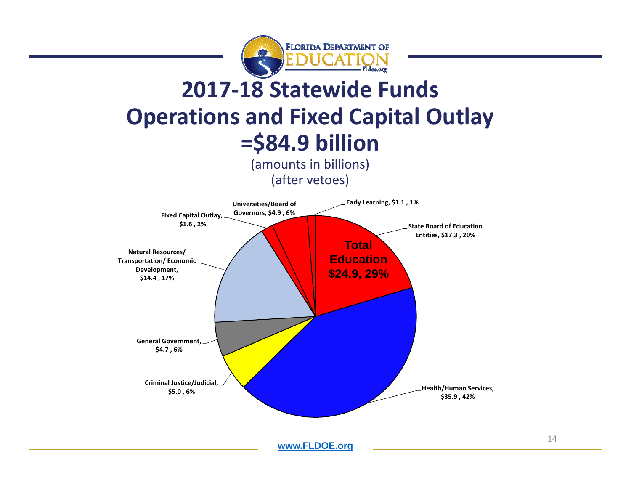

## **2017‐18 Statewide Funds Operations and Fixed Capital Outlay =\$84.9 billion**

(amounts in billions) (after vetoes)

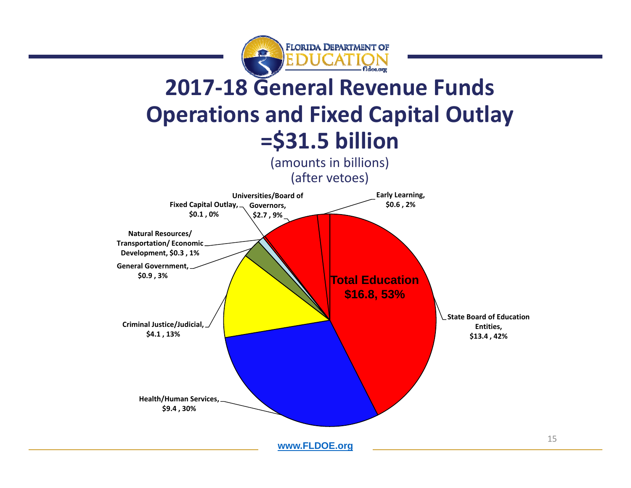

## **2017‐18 General Revenue Funds Operations and Fixed Capital Outlay =\$31.5 billion**

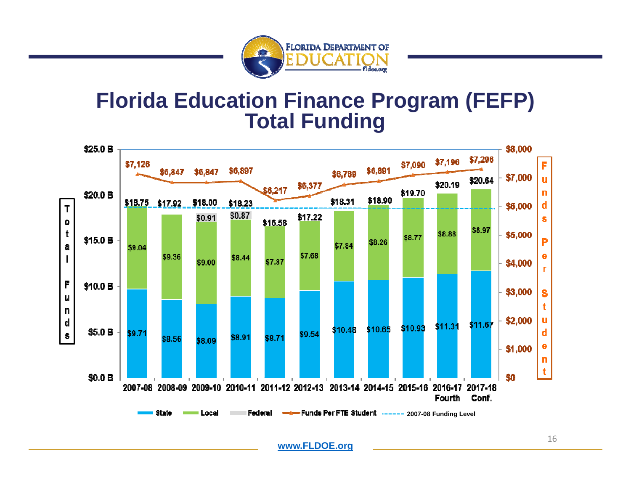

#### **Florida Education Finance Program (FEFP) Total Funding**

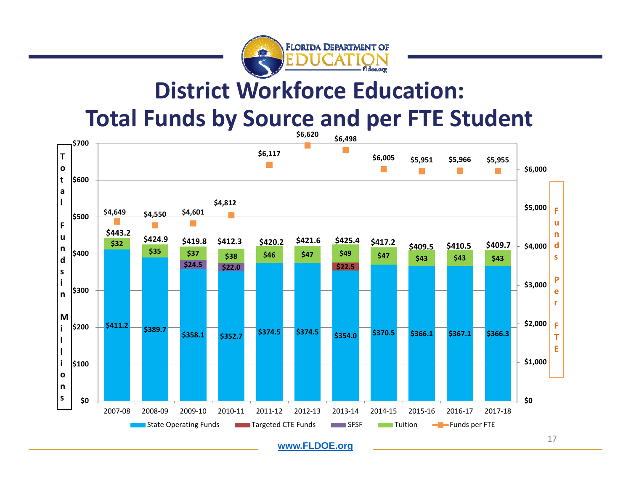

## **District Workforce Education:**

#### **Total Funds by Source and per FTE Student**

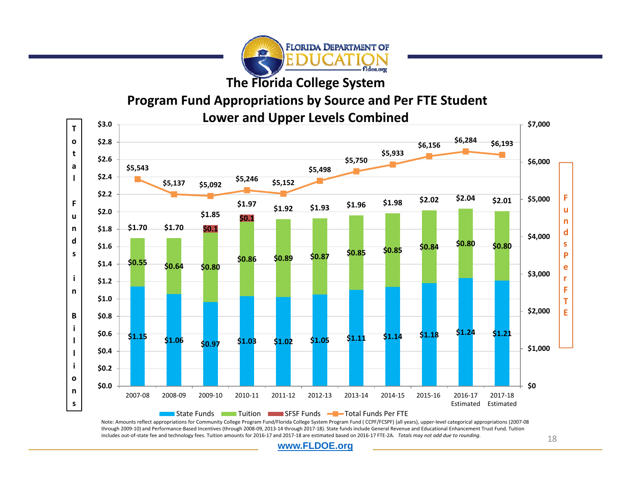

**The Florida College System**

#### **Program Fund Appropriations by Source and Per FTE Student**



Note: Amounts reflect appropriations for Community College Program Fund/Florida College System Program Fund ( CCPF/FCSPF) (all years), upper‐level categorical appropriations (2007‐08 through 2009‐10) and Performance‐Based Incentives (through 2008‐09, 2013‐14 through 2017‐18). State funds include General Revenue and Educational Enhancement Trust Fund. Tuition includes out‐of‐state fee and technology fees. Tuition amounts for 2016‐17 and 2017‐18 are estimated based on 2016‐17 FTE‐2A. *Totals may not add due to rounding.*